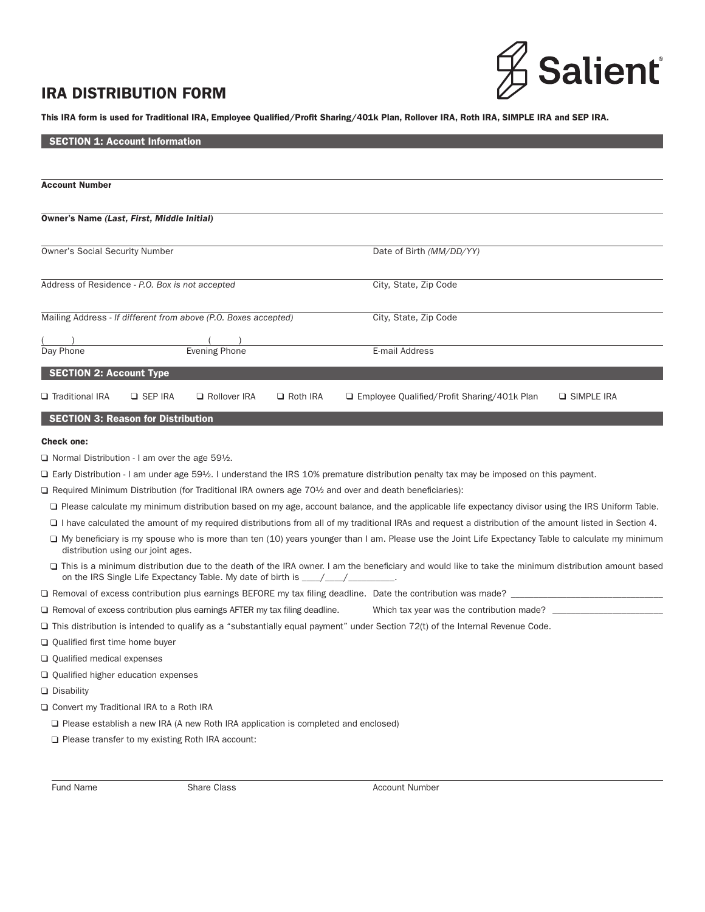# IRA DISTRIBUTION FORM



This IRA form is used for Traditional IRA, Employee Qualified/Profit Sharing/401k Plan, Rollover IRA, Roth IRA, SIMPLE IRA and SEP IRA.

| <b>SECTION 1: Account Information</b>                                                    |                                                                                   |                 |                                                                                                                                                                |                     |  |
|------------------------------------------------------------------------------------------|-----------------------------------------------------------------------------------|-----------------|----------------------------------------------------------------------------------------------------------------------------------------------------------------|---------------------|--|
|                                                                                          |                                                                                   |                 |                                                                                                                                                                |                     |  |
| <b>Account Number</b>                                                                    |                                                                                   |                 |                                                                                                                                                                |                     |  |
|                                                                                          |                                                                                   |                 |                                                                                                                                                                |                     |  |
| Owner's Name (Last, First, Middle Initial)                                               |                                                                                   |                 |                                                                                                                                                                |                     |  |
|                                                                                          |                                                                                   |                 |                                                                                                                                                                |                     |  |
| <b>Owner's Social Security Number</b>                                                    |                                                                                   |                 | Date of Birth (MM/DD/YY)                                                                                                                                       |                     |  |
|                                                                                          |                                                                                   |                 |                                                                                                                                                                |                     |  |
| Address of Residence - P.O. Box is not accepted                                          |                                                                                   |                 | City, State, Zip Code                                                                                                                                          |                     |  |
|                                                                                          |                                                                                   |                 |                                                                                                                                                                |                     |  |
| Mailing Address - If different from above (P.O. Boxes accepted)                          |                                                                                   |                 | City, State, Zip Code                                                                                                                                          |                     |  |
|                                                                                          |                                                                                   |                 |                                                                                                                                                                |                     |  |
| Day Phone                                                                                | <b>Evening Phone</b>                                                              |                 | E-mail Address                                                                                                                                                 |                     |  |
| <b>SECTION 2: Account Type</b>                                                           |                                                                                   |                 |                                                                                                                                                                |                     |  |
| □ Traditional IRA<br><b>Q</b> SEP IRA                                                    | Rollover IRA                                                                      | $\Box$ Roth IRA | □ Employee Qualified/Profit Sharing/401k Plan                                                                                                                  | <b>Q SIMPLE IRA</b> |  |
|                                                                                          |                                                                                   |                 |                                                                                                                                                                |                     |  |
| <b>SECTION 3: Reason for Distribution</b>                                                |                                                                                   |                 |                                                                                                                                                                |                     |  |
| <b>Check one:</b>                                                                        |                                                                                   |                 |                                                                                                                                                                |                     |  |
| $\Box$ Normal Distribution - I am over the age 59½.                                      |                                                                                   |                 |                                                                                                                                                                |                     |  |
|                                                                                          |                                                                                   |                 | $\Box$ Early Distribution - I am under age 59½. I understand the IRS 10% premature distribution penalty tax may be imposed on this payment.                    |                     |  |
|                                                                                          |                                                                                   |                 | □ Required Minimum Distribution (for Traditional IRA owners age 70½ and over and death beneficiaries):                                                         |                     |  |
|                                                                                          |                                                                                   |                 | □ Please calculate my minimum distribution based on my age, account balance, and the applicable life expectancy divisor using the IRS Uniform Table.           |                     |  |
|                                                                                          |                                                                                   |                 | $\Box$ I have calculated the amount of my required distributions from all of my traditional IRAs and request a distribution of the amount listed in Section 4. |                     |  |
| distribution using our joint ages.                                                       |                                                                                   |                 | □ My beneficiary is my spouse who is more than ten (10) years younger than I am. Please use the Joint Life Expectancy Table to calculate my minimum            |                     |  |
|                                                                                          | on the IRS Single Life Expectancy Table. My date of birth is ____________________ |                 | □ This is a minimum distribution due to the death of the IRA owner. I am the beneficiary and would like to take the minimum distribution amount based          |                     |  |
|                                                                                          |                                                                                   |                 | $\Box$ Removal of excess contribution plus earnings BEFORE my tax filing deadline. Date the contribution was made? $\_$                                        |                     |  |
| $\Box$ Removal of excess contribution plus earnings AFTER my tax filing deadline.        |                                                                                   |                 | Which tax year was the contribution made?                                                                                                                      |                     |  |
|                                                                                          |                                                                                   |                 | $\Box$ This distribution is intended to qualify as a "substantially equal payment" under Section 72(t) of the Internal Revenue Code.                           |                     |  |
| $\Box$ Qualified first time home buyer                                                   |                                                                                   |                 |                                                                                                                                                                |                     |  |
| Qualified medical expenses                                                               |                                                                                   |                 |                                                                                                                                                                |                     |  |
| $\Box$ Qualified higher education expenses                                               |                                                                                   |                 |                                                                                                                                                                |                     |  |
| $\Box$ Disability                                                                        |                                                                                   |                 |                                                                                                                                                                |                     |  |
| □ Convert my Traditional IRA to a Roth IRA                                               |                                                                                   |                 |                                                                                                                                                                |                     |  |
| $\Box$ Please establish a new IRA (A new Roth IRA application is completed and enclosed) |                                                                                   |                 |                                                                                                                                                                |                     |  |
| $\Box$ Please transfer to my existing Roth IRA account:                                  |                                                                                   |                 |                                                                                                                                                                |                     |  |

Fund Name **Share Class Account Number CLAS** Account Number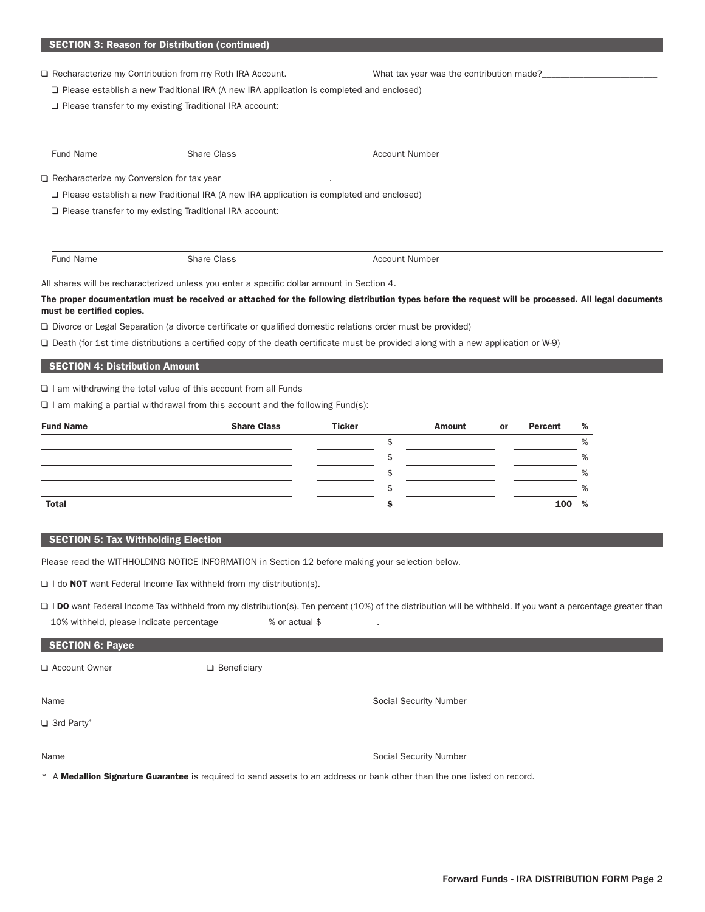□ Recharacterize my Contribution from my Roth IRA Account. What tax year was the contribution made?

□ Please establish a new Traditional IRA (A new IRA application is completed and enclosed)

Please transfer to my existing Traditional IRA account:

| Fund Name | Share Class                                                                                     | Account Number |  |
|-----------|-------------------------------------------------------------------------------------------------|----------------|--|
|           |                                                                                                 |                |  |
|           | $\Box$ Please establish a new Traditional IRA (A new IRA application is completed and enclosed) |                |  |
|           | $\Box$ Please transfer to my existing Traditional IRA account:                                  |                |  |
|           |                                                                                                 |                |  |
|           |                                                                                                 |                |  |
| Fund Name | <b>Share Class</b>                                                                              | Account Number |  |

All shares will be recharacterized unless you enter a specific dollar amount in Section 4.

The proper documentation must be received or attached for the following distribution types before the request will be processed. All legal documents must be certified copies.

Divorce or Legal Separation (a divorce certificate or qualified domestic relations order must be provided)

Death (for 1st time distributions a certified copy of the death certificate must be provided along with a new application or W-9)

# SECTION 4: Distribution Amount

 $\Box$  I am withdrawing the total value of this account from all Funds

 $\Box$  I am making a partial withdrawal from this account and the following Fund(s):

| <b>Fund Name</b> | <b>Share Class</b> | <b>Ticker</b> | <b>Amount</b> | or | Percent | %    |
|------------------|--------------------|---------------|---------------|----|---------|------|
|                  |                    |               |               |    |         | %    |
|                  |                    |               |               |    |         | %    |
|                  |                    |               |               |    |         | %    |
|                  |                    |               |               |    |         | %    |
| <b>Total</b>     |                    |               |               |    | 100     | $\%$ |

# SECTION 5: Tax Withholding Election

Please read the WITHHOLDING NOTICE INFORMATION in Section 12 before making your selection below.

 $\Box$  I do NOT want Federal Income Tax withheld from my distribution(s).

□ I DO want Federal Income Tax withheld from my distribution(s). Ten percent (10%) of the distribution will be withheld. If you want a percentage greater than 10% withheld, please indicate percentage\_\_\_\_\_\_\_\_\_\_\_% or actual \$\_\_\_\_\_\_\_\_\_\_\_\_.

| SECTION 6: Payee |             |
|------------------|-------------|
| Account Owner    | Beneficiary |

Name Social Security Number

□ 3rd Party\*

Name Social Security Number

\* A Medallion Signature Guarantee is required to send assets to an address or bank other than the one listed on record.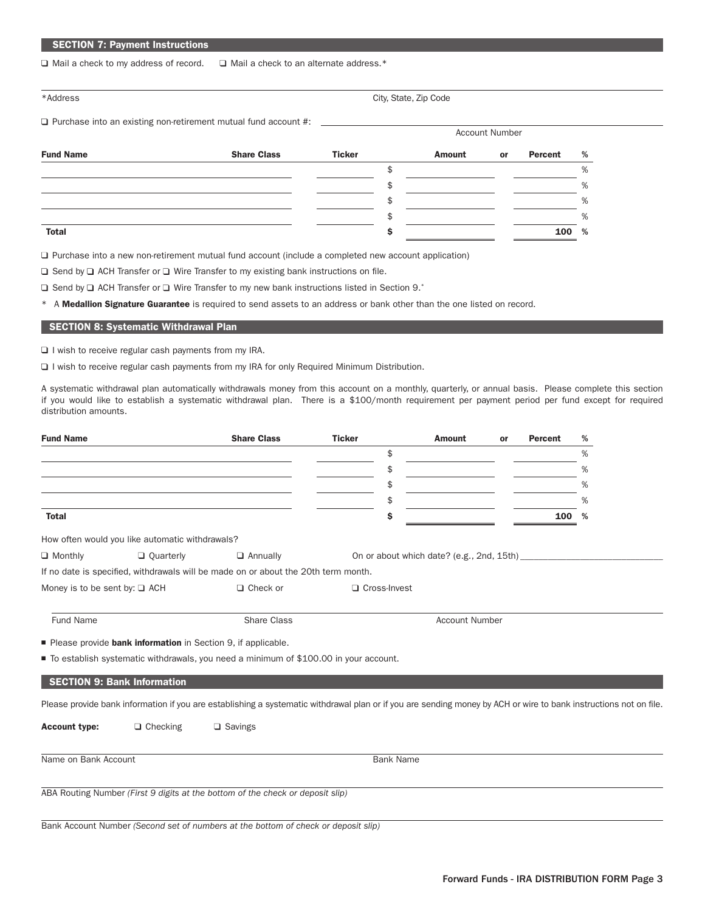# SECTION 7: Payment Instructions

 $\Box$  Mail a check to my address of record.  $\Box$  Mail a check to an alternate address.\*

| *Address* |
|-----------|
|           |

|  | *Address |  |
|--|----------|--|
|  |          |  |

 $\square$  Purchase into an existing non-retirement mutual fund account #:  $\square$ 

| *Address | City, State, Zip Code |
|----------|-----------------------|
|          |                       |

 Account Number Fund Name Share Class Ticker Amount or Percent %

| Total | 100 % |
|-------|-------|
|       | %     |
|       | %     |
|       | %     |
|       | %     |

 $\Box$  Purchase into a new non-retirement mutual fund account (include a completed new account application)

 $\Box$  Send by  $\Box$  ACH Transfer or  $\Box$  Wire Transfer to my existing bank instructions on file.

 $\Box$  Send by  $\Box$  ACH Transfer or  $\Box$  Wire Transfer to my new bank instructions listed in Section 9.\*

\* A Medallion Signature Guarantee is required to send assets to an address or bank other than the one listed on record.

# SECTION 8: Systematic Withdrawal Plan

 $\square$  I wish to receive regular cash payments from my IRA.

I wish to receive regular cash payments from my IRA for only Required Minimum Distribution.

A systematic withdrawal plan automatically withdrawals money from this account on a monthly, quarterly, or annual basis. Please complete this section if you would like to establish a systematic withdrawal plan. There is a \$100/month requirement per payment period per fund except for required distribution amounts.

| <b>Fund Name</b>                   |                                                              | <b>Share Class</b>                                                                                                                                                | <b>Ticker</b>    | <b>Amount</b>         | or | <b>Percent</b> | % |
|------------------------------------|--------------------------------------------------------------|-------------------------------------------------------------------------------------------------------------------------------------------------------------------|------------------|-----------------------|----|----------------|---|
|                                    |                                                              |                                                                                                                                                                   | \$               |                       |    |                | % |
|                                    |                                                              |                                                                                                                                                                   | \$               |                       |    |                | % |
|                                    |                                                              |                                                                                                                                                                   | \$               |                       |    |                | % |
|                                    |                                                              |                                                                                                                                                                   | \$               |                       |    |                | % |
| <b>Total</b>                       |                                                              |                                                                                                                                                                   | Ś                |                       |    | 100            | % |
|                                    | How often would you like automatic withdrawals?              |                                                                                                                                                                   |                  |                       |    |                |   |
| $\Box$ Monthly                     | $\Box$ Quarterly                                             | $\Box$ Annually                                                                                                                                                   |                  |                       |    |                |   |
|                                    |                                                              | If no date is specified, withdrawals will be made on or about the 20th term month.                                                                                |                  |                       |    |                |   |
| Money is to be sent by: $\Box$ ACH |                                                              | $\Box$ Check or                                                                                                                                                   | □ Cross-Invest   |                       |    |                |   |
| Fund Name                          |                                                              | <b>Share Class</b>                                                                                                                                                |                  | <b>Account Number</b> |    |                |   |
|                                    | Please provide bank information in Section 9, if applicable. |                                                                                                                                                                   |                  |                       |    |                |   |
|                                    |                                                              | ■ To establish systematic withdrawals, you need a minimum of \$100.00 in your account.                                                                            |                  |                       |    |                |   |
|                                    | <b>SECTION 9: Bank Information</b>                           |                                                                                                                                                                   |                  |                       |    |                |   |
|                                    |                                                              | Please provide bank information if you are establishing a systematic withdrawal plan or if you are sending money by ACH or wire to bank instructions not on file. |                  |                       |    |                |   |
| <b>Account type:</b>               | $\Box$ Checking                                              | $\Box$ Savings                                                                                                                                                    |                  |                       |    |                |   |
| Name on Bank Account               |                                                              |                                                                                                                                                                   | <b>Bank Name</b> |                       |    |                |   |
|                                    |                                                              | ABA Routing Number (First 9 digits at the bottom of the check or deposit slip)                                                                                    |                  |                       |    |                |   |
|                                    |                                                              | Bank Account Number (Second set of numbers at the bottom of check or deposit slip)                                                                                |                  |                       |    |                |   |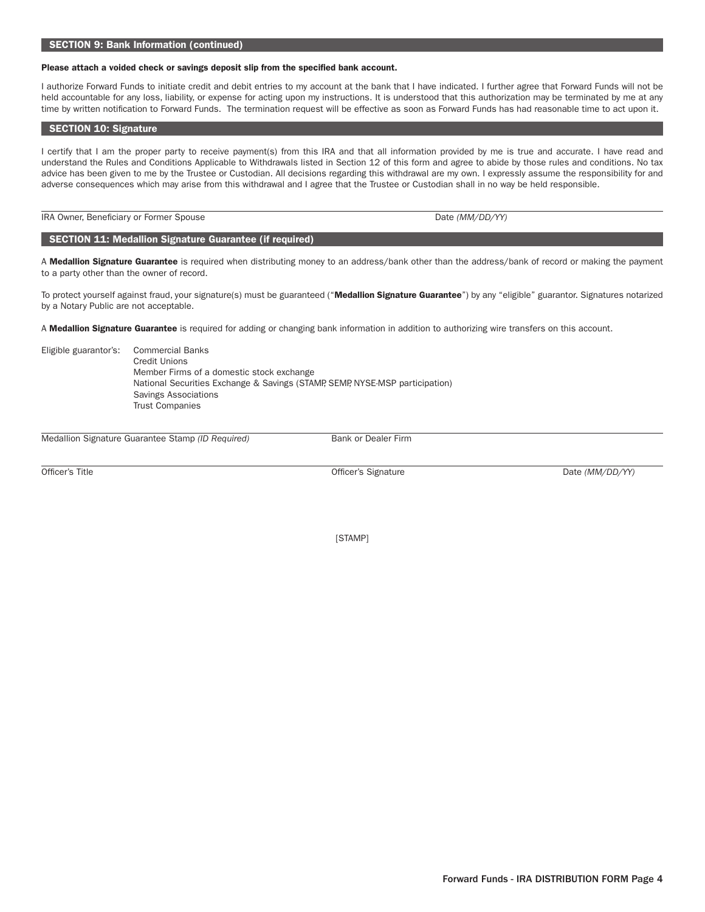# Please attach a voided check or savings deposit slip from the specified bank account.

I authorize Forward Funds to initiate credit and debit entries to my account at the bank that I have indicated. I further agree that Forward Funds will not be held accountable for any loss, liability, or expense for acting upon my instructions. It is understood that this authorization may be terminated by me at any time by written notification to Forward Funds. The termination request will be effective as soon as Forward Funds has had reasonable time to act upon it.

# SECTION 10: Signature

I certify that I am the proper party to receive payment(s) from this IRA and that all information provided by me is true and accurate. I have read and understand the Rules and Conditions Applicable to Withdrawals listed in Section 12 of this form and agree to abide by those rules and conditions. No tax advice has been given to me by the Trustee or Custodian. All decisions regarding this withdrawal are my own. I expressly assume the responsibility for and adverse consequences which may arise from this withdrawal and I agree that the Trustee or Custodian shall in no way be held responsible.

# IRA Owner, Beneficiary or Former Spouse Date *(MM/DD/YY)*

# SECTION 11: Medallion Signature Guarantee (if required)

A Medallion Signature Guarantee is required when distributing money to an address/bank other than the address/bank of record or making the payment to a party other than the owner of record.

To protect yourself against fraud, your signature(s) must be guaranteed ("Medallion Signature Guarantee") by any "eligible" guarantor. Signatures notarized by a Notary Public are not acceptable.

A Medallion Signature Guarantee is required for adding or changing bank information in addition to authorizing wire transfers on this account.

| Eligible guarantor's: | <b>Commercial Banks</b>                                                      |
|-----------------------|------------------------------------------------------------------------------|
|                       | Credit Unions                                                                |
|                       | Member Firms of a domestic stock exchange                                    |
|                       | National Securities Exchange & Savings (STAMP, SEMP, NYSE-MSP participation) |
|                       | Savings Associations                                                         |
|                       | <b>Trust Companies</b>                                                       |

Medallion Signature Guarantee Stamp (ID Required) Bank or Dealer Firm

Officer's Title Date *(MM/DD/YY)* Officer's Signature Date *(MM/DD/YY)* 

[STAMP]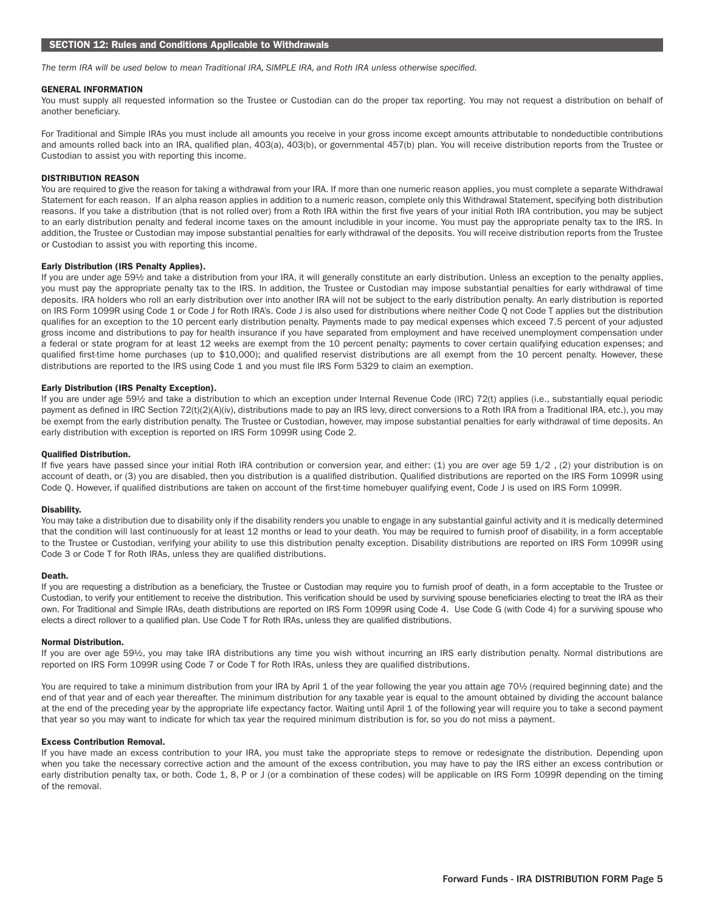*The term IRA will be used below to mean Traditional IRA, SIMPLE IRA, and Roth IRA unless otherwise specified.*

# GENERAL INFORMATION

You must supply all requested information so the Trustee or Custodian can do the proper tax reporting. You may not request a distribution on behalf of another beneficiary.

For Traditional and Simple IRAs you must include all amounts you receive in your gross income except amounts attributable to nondeductible contributions and amounts rolled back into an IRA, qualified plan, 403(a), 403(b), or governmental 457(b) plan. You will receive distribution reports from the Trustee or Custodian to assist you with reporting this income.

## DISTRIBUTION REASON

You are required to give the reason for taking a withdrawal from your IRA. If more than one numeric reason applies, you must complete a separate Withdrawal Statement for each reason. If an alpha reason applies in addition to a numeric reason, complete only this Withdrawal Statement, specifying both distribution reasons. If you take a distribution (that is not rolled over) from a Roth IRA within the first five years of your initial Roth IRA contribution, you may be subject to an early distribution penalty and federal income taxes on the amount includible in your income. You must pay the appropriate penalty tax to the IRS. In addition, the Trustee or Custodian may impose substantial penalties for early withdrawal of the deposits. You will receive distribution reports from the Trustee or Custodian to assist you with reporting this income.

# Early Distribution (IRS Penalty Applies).

If you are under age 59½ and take a distribution from your IRA, it will generally constitute an early distribution. Unless an exception to the penalty applies, you must pay the appropriate penalty tax to the IRS. In addition, the Trustee or Custodian may impose substantial penalties for early withdrawal of time deposits. IRA holders who roll an early distribution over into another IRA will not be subject to the early distribution penalty. An early distribution is reported on IRS Form 1099R using Code 1 or Code J for Roth IRA's. Code J is also used for distributions where neither Code Q not Code T applies but the distribution qualifies for an exception to the 10 percent early distribution penalty. Payments made to pay medical expenses which exceed 7.5 percent of your adjusted gross income and distributions to pay for health insurance if you have separated from employment and have received unemployment compensation under a federal or state program for at least 12 weeks are exempt from the 10 percent penalty; payments to cover certain qualifying education expenses; and qualified first-time home purchases (up to \$10,000); and qualified reservist distributions are all exempt from the 10 percent penalty. However, these distributions are reported to the IRS using Code 1 and you must file IRS Form 5329 to claim an exemption.

# Early Distribution (IRS Penalty Exception).

If you are under age 59½ and take a distribution to which an exception under Internal Revenue Code (IRC) 72(t) applies (i.e., substantially equal periodic payment as defined in IRC Section 72(t)(2)(A)(iv), distributions made to pay an IRS levy, direct conversions to a Roth IRA from a Traditional IRA, etc.), you may be exempt from the early distribution penalty. The Trustee or Custodian, however, may impose substantial penalties for early withdrawal of time deposits. An early distribution with exception is reported on IRS Form 1099R using Code 2.

## Qualified Distribution.

If five years have passed since your initial Roth IRA contribution or conversion year, and either: (1) you are over age 59 1/2, (2) your distribution is on account of death, or (3) you are disabled, then you distribution is a qualified distribution. Qualified distributions are reported on the IRS Form 1099R using Code Q. However, if qualified distributions are taken on account of the first-time homebuyer qualifying event, Code J is used on IRS Form 1099R.

#### Disability.

You may take a distribution due to disability only if the disability renders you unable to engage in any substantial gainful activity and it is medically determined that the condition will last continuously for at least 12 months or lead to your death. You may be required to furnish proof of disability, in a form acceptable to the Trustee or Custodian, verifying your ability to use this distribution penalty exception. Disability distributions are reported on IRS Form 1099R using Code 3 or Code T for Roth IRAs, unless they are qualified distributions.

#### Death.

If you are requesting a distribution as a beneficiary, the Trustee or Custodian may require you to furnish proof of death, in a form acceptable to the Trustee or Custodian, to verify your entitlement to receive the distribution. This verification should be used by surviving spouse beneficiaries electing to treat the IRA as their own. For Traditional and Simple IRAs, death distributions are reported on IRS Form 1099R using Code 4. Use Code G (with Code 4) for a surviving spouse who elects a direct rollover to a qualified plan. Use Code T for Roth IRAs, unless they are qualified distributions.

#### Normal Distribution.

If you are over age 59½, you may take IRA distributions any time you wish without incurring an IRS early distribution penalty. Normal distributions are reported on IRS Form 1099R using Code 7 or Code T for Roth IRAs, unless they are qualified distributions.

You are required to take a minimum distribution from your IRA by April 1 of the year following the year you attain age 70½ (required beginning date) and the end of that year and of each year thereafter. The minimum distribution for any taxable year is equal to the amount obtained by dividing the account balance at the end of the preceding year by the appropriate life expectancy factor. Waiting until April 1 of the following year will require you to take a second payment that year so you may want to indicate for which tax year the required minimum distribution is for, so you do not miss a payment.

# Excess Contribution Removal.

If you have made an excess contribution to your IRA, you must take the appropriate steps to remove or redesignate the distribution. Depending upon when you take the necessary corrective action and the amount of the excess contribution, you may have to pay the IRS either an excess contribution or early distribution penalty tax, or both. Code 1, 8, P or J (or a combination of these codes) will be applicable on IRS Form 1099R depending on the timing of the removal.